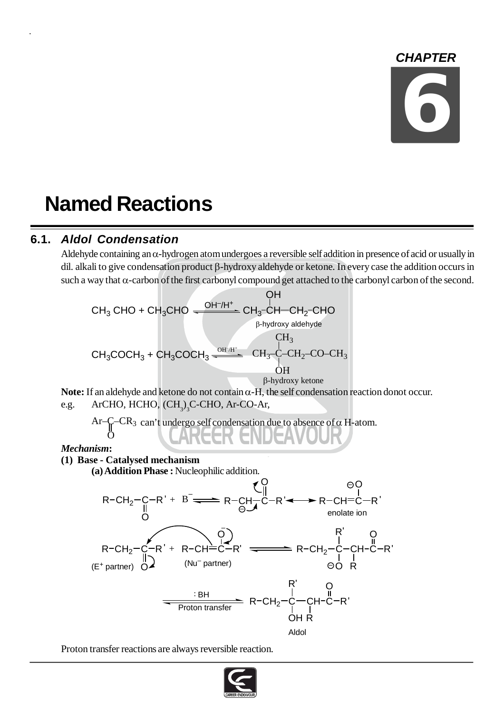## *CHAPTER*

# **6**

# **Named Reactions**

## **6.1.** *Aldol Condensation*

Aldehyde containing an  $\alpha$ -hydrogen atom undergoes a reversible self addition in presence of acid or usually in dil. alkali to give condensation product  $\beta$ -hydroxy aldehyde or ketone. In every case the addition occurs in such a way that  $\alpha$ -carbon of the first carbonyl compound get attached to the carbonyl carbon of the second.

CH<sub>3</sub>CHO + CH<sub>3</sub>CHO 
$$
\xrightarrow{\text{OH}^+/\text{H}^+ \atop \text{OH}^-}} CH_3 \cdot CH - CH_2\text{-CHO}
$$
\n
$$
\xrightarrow{\text{OH}^+/\text{H}^+} CH_3 \cdot CH - CH_2\text{-CHO}
$$
\n
$$
\xrightarrow{\text{H}^+} CH_3
$$
\nCH<sub>3</sub>\n
$$
\xrightarrow{\text{OH}^+}/CH_3 \xrightarrow{\text{OH}^+} CH_3\text{-C} - CH_2\text{-CO} - CH_3
$$
\n
$$
\xrightarrow{\text{OH}^+} CH_3 \cdot \text{COCH}_3 + CH_3\text{COCH}_3 \xrightarrow{\text{OH}^+} CH_3\text{-C} - CH_2\text{-CO} - CH_3
$$
\n
$$
\xrightarrow{\text{OH}^+} CH_3 \cdot \text{O} + CH_3\text{-CO} + CH_3\text{-CO} + CH_3\text{-CO} + CH_3\text{-CO} + CH_3\text{-CO} + CH_3\text{-CO} + CH_3\text{-CO} + CH_3\text{-CO} + CH_3\text{-CO} + CH_3\text{-CO} + CH_3\text{-CO} + CH_3\text{-CO} + CH_3\text{-CO} + CH_3\text{-CO} + CH_3\text{-CO} + CH_3\text{-CO} + CH_3\text{-CO} + CH_3\text{-CO} + CH_3\text{-CO} + CH_3\text{-CO} + CH_3\text{-CO} + CH_3\text{-CO} + CH_3\text{-CO} + CH_3\text{-CO} + CH_3\text{-CO} + CH_3\text{-CO} + CH_3\text{-CO} + CH_3\text{-CO} + CH_3\text{-CO} + CH_3\text{-CO} + CH_3\text{-CO} + CH_3\text{-CO} + CH_3\text{-CO} + CH_3\text{-CO} + CH_3\text{-CO} + CH_3\text{-CO} + CH_3\text{-CO} + CH_3\text{-CO} + CH_3\text{-CO} + CH_3\text{-CO} + CH_3\text{-CO} + CH_3\text{-CO} + CH_3\text{-CO} + CH_3\text{-CO} + CH_3\text{-CO} + CH_3\text{-CO} + CH_3\text{-CO} + CH_3\text{-CO} + CH_3\text{-CO} + CH_3\text{-CO} + CH_3\text{-CO} + CH_3\text{-CO
$$

**Note:** If an aldehyde and ketone do not contain  $\alpha$ -H, the self condensation reaction donot occur. e.g. ArCHO, HCHO, (CH<sub>3</sub>)<sub>3</sub>C-CHO, Ar-CO-Ar,

Ar-
$$
\bigcap_{O}
$$
 -CR<sub>3</sub> can't undergo self condensation due to absence of  $\alpha$  H-atom.

#### *Mechanism***:**

#### **(1) Base - Catalysed mechanism**

s**e - Catalysed mechanism**<br>(**a**) **Addition Phase :** Nucleophilic addition.



Proton transfer reactions are always reversible reaction.

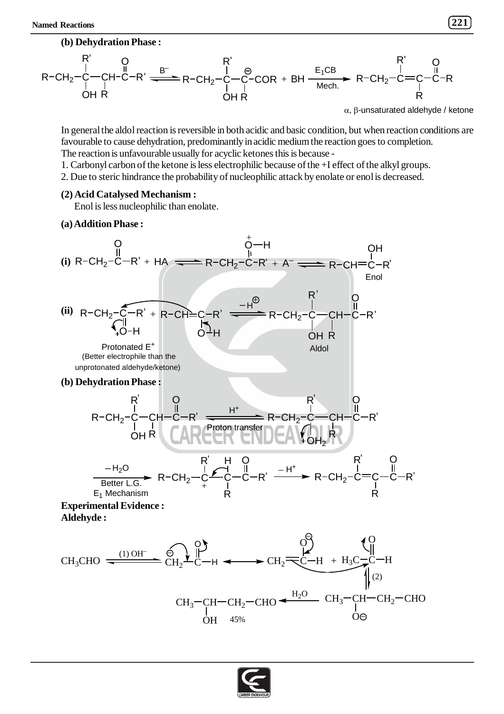

 $\alpha$ ,  $\beta$ -unsaturated aldehyde / ketone

In general the aldol reaction is reversible in both acidic and basic condition, but when reaction conditions are favourable to cause dehydration, predominantly in acidic medium the reaction goes to completion. The reaction is unfavourable usually for acyclic ketones this is because -

- 1. Carbonyl carbon of the ketone is less electrophilic because of the +I effect of the alkyl groups.
- 2. Due to steric hindrance the probability of nucleophilic attack by enolate or enol is decreased.

#### **(2) Acid Catalysed Mechanism :**

Enol is less nucleophilic than enolate.

#### **(a) Addition Phase :**

(i) 
$$
R-CH_2-C-R' + HA \longrightarrow R-CH_2-C-R' + A \longrightarrow R-CH=C-R'
$$
  
\n(ii)  $R-CH_2-C-R' + R-CH_2-C-R' \longrightarrow H$   
\n(iii)  $R-CH_2-C-R' + R-CH_2-C-R' \longrightarrow H$   
\n(iii)  $R-CH_2-C-R' + R-CH_2-C-R' \longrightarrow H$   
\n(iii)  $R-CH_2-C-R' + R-CH_2-C-R' \longrightarrow H$   
\n(iv)  $QH$   
\n(v)  $QH$   
\n(v)  $QH$   
\n(v)  $QH$   
\n(v)  $QH$   
\n(v)  $QH$   
\n(v)  $QH$   
\n(v)  $QH$   
\n(v)  $QH$   
\n(v)  $QH$   
\n(v)  $QH$   
\n(v)  $QH$   
\n(v)  $QH$   
\n(v)  $QH$   
\n(v)  $QH$   
\n(v)  $QH$   
\n(v)  $QH$   
\n(v)  $QH$   
\n(v)  $QH$   
\n(v)  $QH$   
\n(v)  $QH$   
\n(v)  $QH$   
\n(v)  $QH$   
\n(v)  $QH$   
\n(v)  $QH$   
\n(v)  $QH$   
\n(v)  $QH$   
\n(v)  $QH$   
\n(v)  $QH$   
\n(v)  $QH$   
\n(v)  $QH$   
\n(v)  $QH$   
\n(v)  $QH$   
\n(v)  $QH$   
\n(v)  $QH$   
\n(v)  $QH$   
\n(v)  $QH$   
\n(v)  $QH$   
\n(v)  $QH$   
\n(v)  $QH$   
\n(v)  $QH$   
\n(v)  $QH$   
\n(v)  $QH$   
\n(v)  $QH$   
\n(v)  $QH$   
\n(v)  $QH$   
\n(v)  $$ 

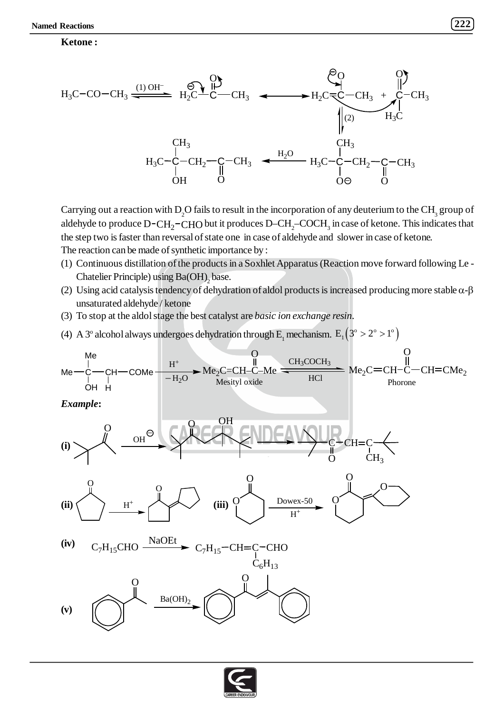#### **Ketone :**



Carrying out a reaction with  $\rm D_2O$  fails to result in the incorporation of any deuterium to the CH<sub>3</sub> group of aldehyde to produce  $\rm D\text{-}CH_2\text{-}CHO$  but it produces  $\rm D\text{-}CH_2\text{-}COCH_3$  in case of ketone. This indicates that the step two is faster than reversal of state one in case of aldehyde and slower in case of ketone. The reaction can be made of synthetic importance by :

- (1) Continuous distillation of the products in a Soxhlet Apparatus (Reaction move forward following Le Chatelier Principle) using  $Ba(OH)$ <sub>2</sub> base.
- (2) Using acid catalysis tendency of dehydration of aldol products is increased producing more stable  $\alpha$ - $\beta$ unsaturated aldehyde / ketone
- (3) To stop at the aldol stage the best catalyst are *basic ion exchange resin*.
- (4) A 3<sup>o</sup> alcohol always undergoes dehydration through E<sub>1</sub> mechanism.  $E_1(3^\circ > 2^\circ > 1^\circ)$